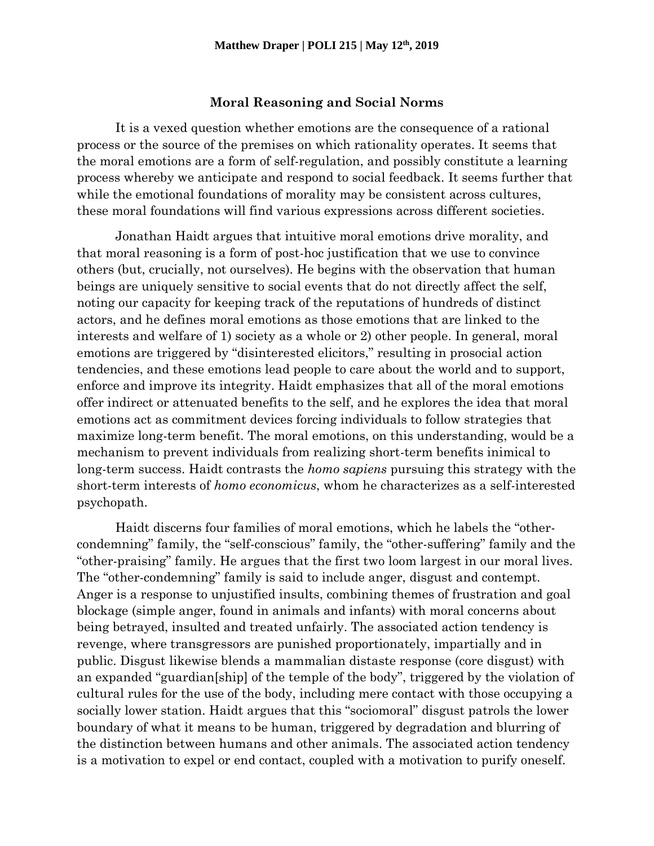## **Moral Reasoning and Social Norms**

It is a vexed question whether emotions are the consequence of a rational process or the source of the premises on which rationality operates. It seems that the moral emotions are a form of self-regulation, and possibly constitute a learning process whereby we anticipate and respond to social feedback. It seems further that while the emotional foundations of morality may be consistent across cultures, these moral foundations will find various expressions across different societies.

Jonathan Haidt argues that intuitive moral emotions drive morality, and that moral reasoning is a form of post-hoc justification that we use to convince others (but, crucially, not ourselves). He begins with the observation that human beings are uniquely sensitive to social events that do not directly affect the self, noting our capacity for keeping track of the reputations of hundreds of distinct actors, and he defines moral emotions as those emotions that are linked to the interests and welfare of 1) society as a whole or 2) other people. In general, moral emotions are triggered by "disinterested elicitors," resulting in prosocial action tendencies, and these emotions lead people to care about the world and to support, enforce and improve its integrity. Haidt emphasizes that all of the moral emotions offer indirect or attenuated benefits to the self, and he explores the idea that moral emotions act as commitment devices forcing individuals to follow strategies that maximize long-term benefit. The moral emotions, on this understanding, would be a mechanism to prevent individuals from realizing short-term benefits inimical to long-term success. Haidt contrasts the *homo sapiens* pursuing this strategy with the short-term interests of *homo economicus*, whom he characterizes as a self-interested psychopath.

Haidt discerns four families of moral emotions, which he labels the "othercondemning" family, the "self-conscious" family, the "other-suffering" family and the "other-praising" family. He argues that the first two loom largest in our moral lives. The "other-condemning" family is said to include anger, disgust and contempt. Anger is a response to unjustified insults, combining themes of frustration and goal blockage (simple anger, found in animals and infants) with moral concerns about being betrayed, insulted and treated unfairly. The associated action tendency is revenge, where transgressors are punished proportionately, impartially and in public. Disgust likewise blends a mammalian distaste response (core disgust) with an expanded "guardian[ship] of the temple of the body", triggered by the violation of cultural rules for the use of the body, including mere contact with those occupying a socially lower station. Haidt argues that this "sociomoral" disgust patrols the lower boundary of what it means to be human, triggered by degradation and blurring of the distinction between humans and other animals. The associated action tendency is a motivation to expel or end contact, coupled with a motivation to purify oneself.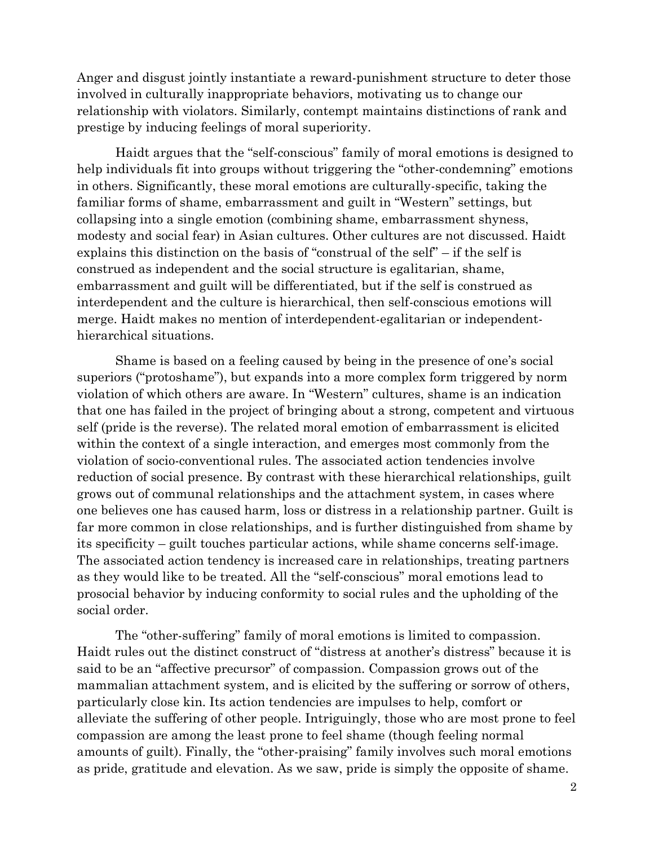Anger and disgust jointly instantiate a reward-punishment structure to deter those involved in culturally inappropriate behaviors, motivating us to change our relationship with violators. Similarly, contempt maintains distinctions of rank and prestige by inducing feelings of moral superiority.

Haidt argues that the "self-conscious" family of moral emotions is designed to help individuals fit into groups without triggering the "other-condemning" emotions in others. Significantly, these moral emotions are culturally-specific, taking the familiar forms of shame, embarrassment and guilt in "Western" settings, but collapsing into a single emotion (combining shame, embarrassment shyness, modesty and social fear) in Asian cultures. Other cultures are not discussed. Haidt explains this distinction on the basis of "construal of the self" – if the self is construed as independent and the social structure is egalitarian, shame, embarrassment and guilt will be differentiated, but if the self is construed as interdependent and the culture is hierarchical, then self-conscious emotions will merge. Haidt makes no mention of interdependent-egalitarian or independenthierarchical situations.

Shame is based on a feeling caused by being in the presence of one's social superiors ("protoshame"), but expands into a more complex form triggered by norm violation of which others are aware. In "Western" cultures, shame is an indication that one has failed in the project of bringing about a strong, competent and virtuous self (pride is the reverse). The related moral emotion of embarrassment is elicited within the context of a single interaction, and emerges most commonly from the violation of socio-conventional rules. The associated action tendencies involve reduction of social presence. By contrast with these hierarchical relationships, guilt grows out of communal relationships and the attachment system, in cases where one believes one has caused harm, loss or distress in a relationship partner. Guilt is far more common in close relationships, and is further distinguished from shame by its specificity – guilt touches particular actions, while shame concerns self-image. The associated action tendency is increased care in relationships, treating partners as they would like to be treated. All the "self-conscious" moral emotions lead to prosocial behavior by inducing conformity to social rules and the upholding of the social order.

The "other-suffering" family of moral emotions is limited to compassion. Haidt rules out the distinct construct of "distress at another's distress" because it is said to be an "affective precursor" of compassion. Compassion grows out of the mammalian attachment system, and is elicited by the suffering or sorrow of others, particularly close kin. Its action tendencies are impulses to help, comfort or alleviate the suffering of other people. Intriguingly, those who are most prone to feel compassion are among the least prone to feel shame (though feeling normal amounts of guilt). Finally, the "other-praising" family involves such moral emotions as pride, gratitude and elevation. As we saw, pride is simply the opposite of shame.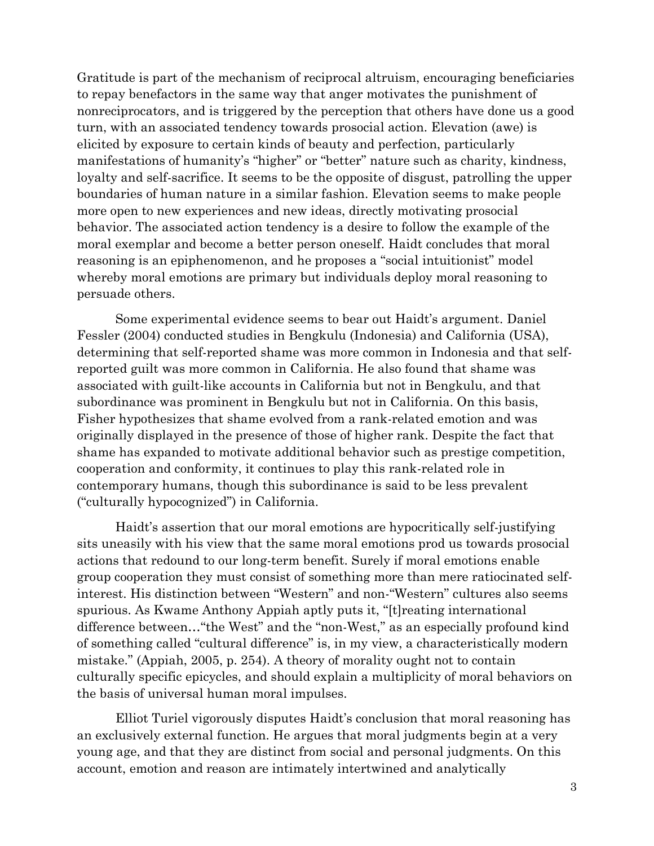Gratitude is part of the mechanism of reciprocal altruism, encouraging beneficiaries to repay benefactors in the same way that anger motivates the punishment of nonreciprocators, and is triggered by the perception that others have done us a good turn, with an associated tendency towards prosocial action. Elevation (awe) is elicited by exposure to certain kinds of beauty and perfection, particularly manifestations of humanity's "higher" or "better" nature such as charity, kindness, loyalty and self-sacrifice. It seems to be the opposite of disgust, patrolling the upper boundaries of human nature in a similar fashion. Elevation seems to make people more open to new experiences and new ideas, directly motivating prosocial behavior. The associated action tendency is a desire to follow the example of the moral exemplar and become a better person oneself. Haidt concludes that moral reasoning is an epiphenomenon, and he proposes a "social intuitionist" model whereby moral emotions are primary but individuals deploy moral reasoning to persuade others.

Some experimental evidence seems to bear out Haidt's argument. Daniel Fessler (2004) conducted studies in Bengkulu (Indonesia) and California (USA), determining that self-reported shame was more common in Indonesia and that selfreported guilt was more common in California. He also found that shame was associated with guilt-like accounts in California but not in Bengkulu, and that subordinance was prominent in Bengkulu but not in California. On this basis, Fisher hypothesizes that shame evolved from a rank-related emotion and was originally displayed in the presence of those of higher rank. Despite the fact that shame has expanded to motivate additional behavior such as prestige competition, cooperation and conformity, it continues to play this rank-related role in contemporary humans, though this subordinance is said to be less prevalent ("culturally hypocognized") in California.

Haidt's assertion that our moral emotions are hypocritically self-justifying sits uneasily with his view that the same moral emotions prod us towards prosocial actions that redound to our long-term benefit. Surely if moral emotions enable group cooperation they must consist of something more than mere ratiocinated selfinterest. His distinction between "Western" and non-"Western" cultures also seems spurious. As Kwame Anthony Appiah aptly puts it, "[t]reating international difference between…"the West" and the "non-West," as an especially profound kind of something called "cultural difference" is, in my view, a characteristically modern mistake." (Appiah, 2005, p. 254). A theory of morality ought not to contain culturally specific epicycles, and should explain a multiplicity of moral behaviors on the basis of universal human moral impulses.

Elliot Turiel vigorously disputes Haidt's conclusion that moral reasoning has an exclusively external function. He argues that moral judgments begin at a very young age, and that they are distinct from social and personal judgments. On this account, emotion and reason are intimately intertwined and analytically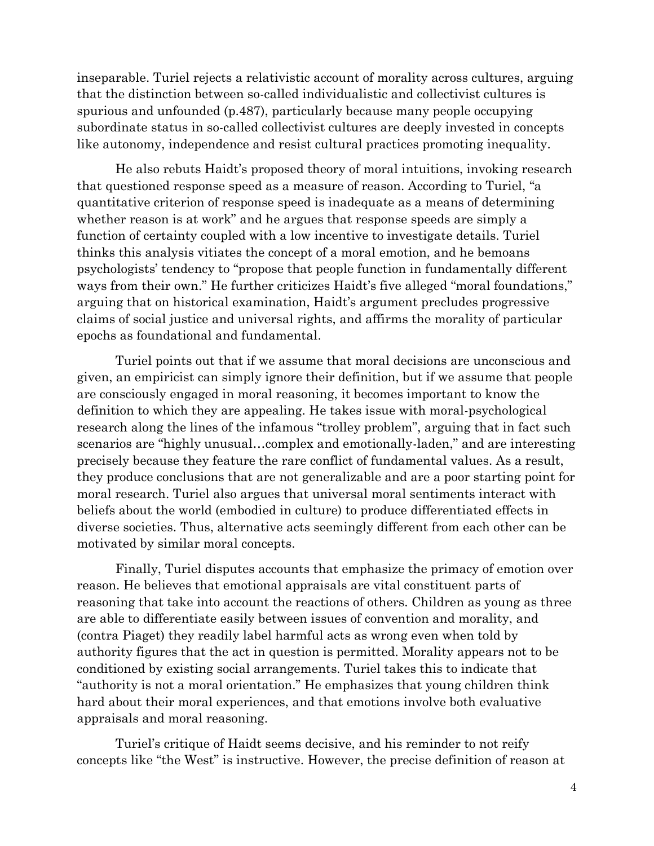inseparable. Turiel rejects a relativistic account of morality across cultures, arguing that the distinction between so-called individualistic and collectivist cultures is spurious and unfounded (p.487), particularly because many people occupying subordinate status in so-called collectivist cultures are deeply invested in concepts like autonomy, independence and resist cultural practices promoting inequality.

He also rebuts Haidt's proposed theory of moral intuitions, invoking research that questioned response speed as a measure of reason. According to Turiel, "a quantitative criterion of response speed is inadequate as a means of determining whether reason is at work" and he argues that response speeds are simply a function of certainty coupled with a low incentive to investigate details. Turiel thinks this analysis vitiates the concept of a moral emotion, and he bemoans psychologists' tendency to "propose that people function in fundamentally different ways from their own." He further criticizes Haidt's five alleged "moral foundations," arguing that on historical examination, Haidt's argument precludes progressive claims of social justice and universal rights, and affirms the morality of particular epochs as foundational and fundamental.

Turiel points out that if we assume that moral decisions are unconscious and given, an empiricist can simply ignore their definition, but if we assume that people are consciously engaged in moral reasoning, it becomes important to know the definition to which they are appealing. He takes issue with moral-psychological research along the lines of the infamous "trolley problem", arguing that in fact such scenarios are "highly unusual…complex and emotionally-laden," and are interesting precisely because they feature the rare conflict of fundamental values. As a result, they produce conclusions that are not generalizable and are a poor starting point for moral research. Turiel also argues that universal moral sentiments interact with beliefs about the world (embodied in culture) to produce differentiated effects in diverse societies. Thus, alternative acts seemingly different from each other can be motivated by similar moral concepts.

Finally, Turiel disputes accounts that emphasize the primacy of emotion over reason. He believes that emotional appraisals are vital constituent parts of reasoning that take into account the reactions of others. Children as young as three are able to differentiate easily between issues of convention and morality, and (contra Piaget) they readily label harmful acts as wrong even when told by authority figures that the act in question is permitted. Morality appears not to be conditioned by existing social arrangements. Turiel takes this to indicate that "authority is not a moral orientation." He emphasizes that young children think hard about their moral experiences, and that emotions involve both evaluative appraisals and moral reasoning.

Turiel's critique of Haidt seems decisive, and his reminder to not reify concepts like "the West" is instructive. However, the precise definition of reason at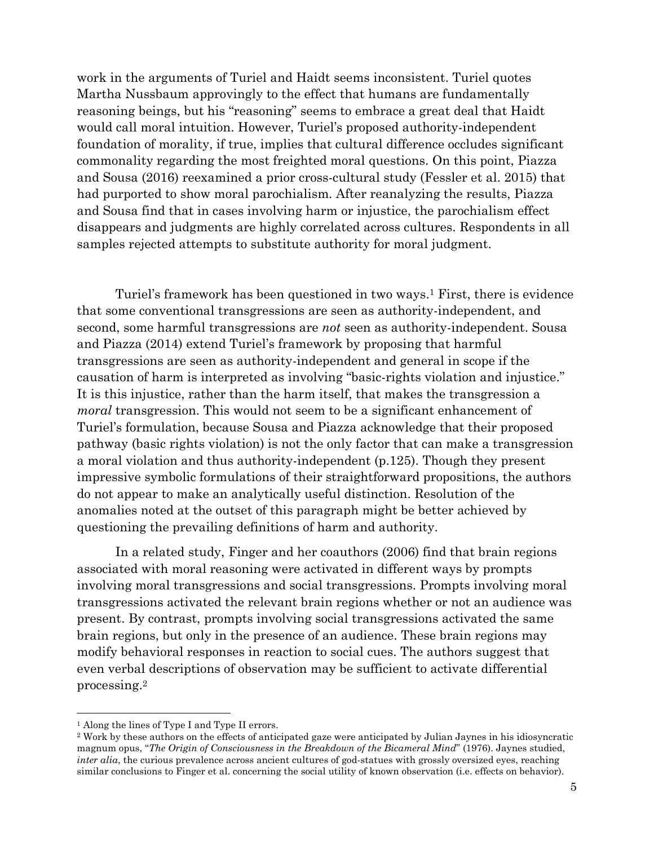work in the arguments of Turiel and Haidt seems inconsistent. Turiel quotes Martha Nussbaum approvingly to the effect that humans are fundamentally reasoning beings, but his "reasoning" seems to embrace a great deal that Haidt would call moral intuition. However, Turiel's proposed authority-independent foundation of morality, if true, implies that cultural difference occludes significant commonality regarding the most freighted moral questions. On this point, Piazza and Sousa (2016) reexamined a prior cross-cultural study (Fessler et al. 2015) that had purported to show moral parochialism. After reanalyzing the results, Piazza and Sousa find that in cases involving harm or injustice, the parochialism effect disappears and judgments are highly correlated across cultures. Respondents in all samples rejected attempts to substitute authority for moral judgment.

Turiel's framework has been questioned in two ways.<sup>1</sup> First, there is evidence that some conventional transgressions are seen as authority-independent, and second, some harmful transgressions are *not* seen as authority-independent. Sousa and Piazza (2014) extend Turiel's framework by proposing that harmful transgressions are seen as authority-independent and general in scope if the causation of harm is interpreted as involving "basic-rights violation and injustice." It is this injustice, rather than the harm itself, that makes the transgression a *moral* transgression. This would not seem to be a significant enhancement of Turiel's formulation, because Sousa and Piazza acknowledge that their proposed pathway (basic rights violation) is not the only factor that can make a transgression a moral violation and thus authority-independent (p.125). Though they present impressive symbolic formulations of their straightforward propositions, the authors do not appear to make an analytically useful distinction. Resolution of the anomalies noted at the outset of this paragraph might be better achieved by questioning the prevailing definitions of harm and authority.

In a related study, Finger and her coauthors (2006) find that brain regions associated with moral reasoning were activated in different ways by prompts involving moral transgressions and social transgressions. Prompts involving moral transgressions activated the relevant brain regions whether or not an audience was present. By contrast, prompts involving social transgressions activated the same brain regions, but only in the presence of an audience. These brain regions may modify behavioral responses in reaction to social cues. The authors suggest that even verbal descriptions of observation may be sufficient to activate differential processing.<sup>2</sup>

 $\overline{\phantom{a}}$ 

<sup>1</sup> Along the lines of Type I and Type II errors.

<sup>2</sup> Work by these authors on the effects of anticipated gaze were anticipated by Julian Jaynes in his idiosyncratic magnum opus, "*The Origin of Consciousness in the Breakdown of the Bicameral Mind*" (1976). Jaynes studied, *inter alia*, the curious prevalence across ancient cultures of god-statues with grossly oversized eyes, reaching similar conclusions to Finger et al. concerning the social utility of known observation (i.e. effects on behavior).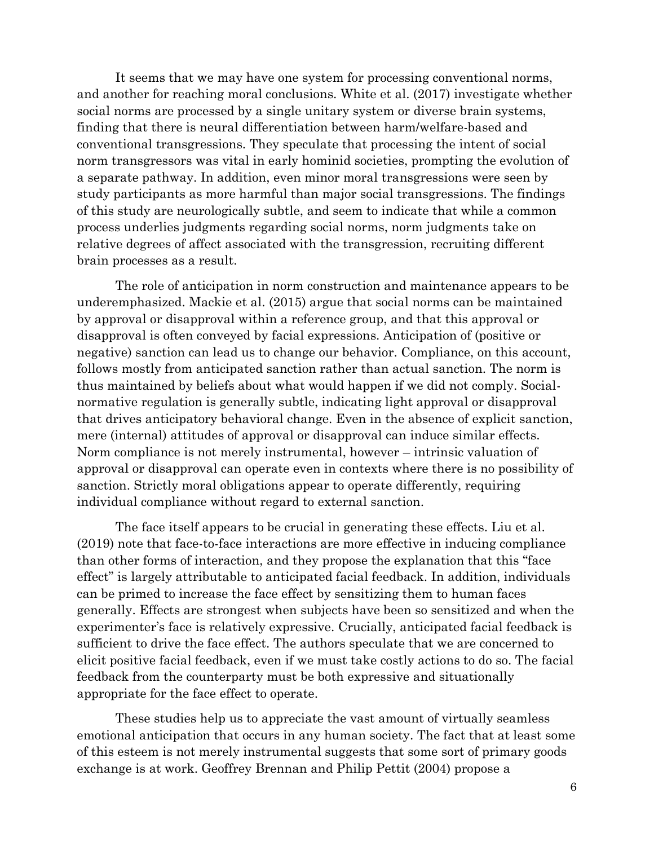It seems that we may have one system for processing conventional norms, and another for reaching moral conclusions. White et al. (2017) investigate whether social norms are processed by a single unitary system or diverse brain systems, finding that there is neural differentiation between harm/welfare-based and conventional transgressions. They speculate that processing the intent of social norm transgressors was vital in early hominid societies, prompting the evolution of a separate pathway. In addition, even minor moral transgressions were seen by study participants as more harmful than major social transgressions. The findings of this study are neurologically subtle, and seem to indicate that while a common process underlies judgments regarding social norms, norm judgments take on relative degrees of affect associated with the transgression, recruiting different brain processes as a result.

The role of anticipation in norm construction and maintenance appears to be underemphasized. Mackie et al. (2015) argue that social norms can be maintained by approval or disapproval within a reference group, and that this approval or disapproval is often conveyed by facial expressions. Anticipation of (positive or negative) sanction can lead us to change our behavior. Compliance, on this account, follows mostly from anticipated sanction rather than actual sanction. The norm is thus maintained by beliefs about what would happen if we did not comply. Socialnormative regulation is generally subtle, indicating light approval or disapproval that drives anticipatory behavioral change. Even in the absence of explicit sanction, mere (internal) attitudes of approval or disapproval can induce similar effects. Norm compliance is not merely instrumental, however – intrinsic valuation of approval or disapproval can operate even in contexts where there is no possibility of sanction. Strictly moral obligations appear to operate differently, requiring individual compliance without regard to external sanction.

The face itself appears to be crucial in generating these effects. Liu et al. (2019) note that face-to-face interactions are more effective in inducing compliance than other forms of interaction, and they propose the explanation that this "face effect" is largely attributable to anticipated facial feedback. In addition, individuals can be primed to increase the face effect by sensitizing them to human faces generally. Effects are strongest when subjects have been so sensitized and when the experimenter's face is relatively expressive. Crucially, anticipated facial feedback is sufficient to drive the face effect. The authors speculate that we are concerned to elicit positive facial feedback, even if we must take costly actions to do so. The facial feedback from the counterparty must be both expressive and situationally appropriate for the face effect to operate.

These studies help us to appreciate the vast amount of virtually seamless emotional anticipation that occurs in any human society. The fact that at least some of this esteem is not merely instrumental suggests that some sort of primary goods exchange is at work. Geoffrey Brennan and Philip Pettit (2004) propose a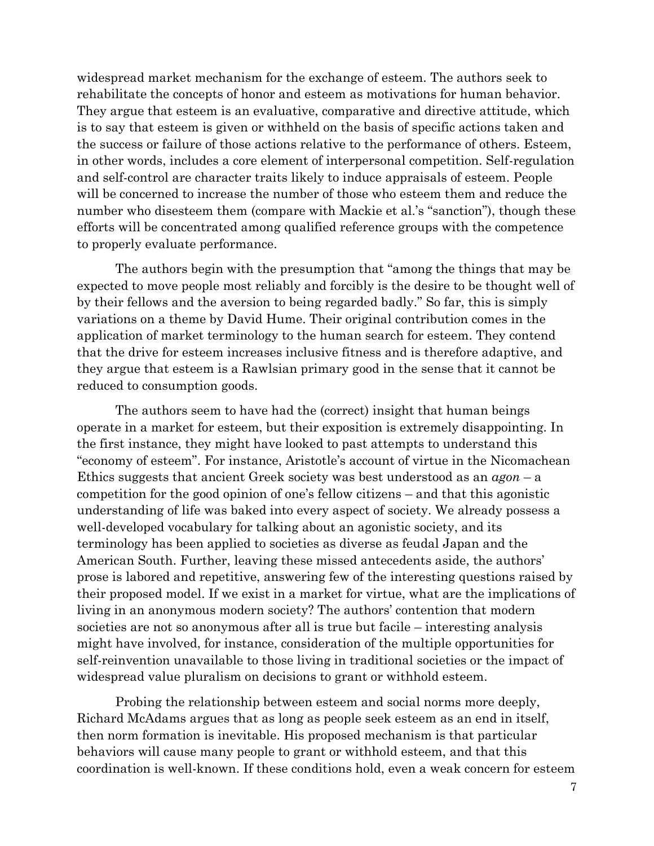widespread market mechanism for the exchange of esteem. The authors seek to rehabilitate the concepts of honor and esteem as motivations for human behavior. They argue that esteem is an evaluative, comparative and directive attitude, which is to say that esteem is given or withheld on the basis of specific actions taken and the success or failure of those actions relative to the performance of others. Esteem, in other words, includes a core element of interpersonal competition. Self-regulation and self-control are character traits likely to induce appraisals of esteem. People will be concerned to increase the number of those who esteem them and reduce the number who disesteem them (compare with Mackie et al.'s "sanction"), though these efforts will be concentrated among qualified reference groups with the competence to properly evaluate performance.

The authors begin with the presumption that "among the things that may be expected to move people most reliably and forcibly is the desire to be thought well of by their fellows and the aversion to being regarded badly." So far, this is simply variations on a theme by David Hume. Their original contribution comes in the application of market terminology to the human search for esteem. They contend that the drive for esteem increases inclusive fitness and is therefore adaptive, and they argue that esteem is a Rawlsian primary good in the sense that it cannot be reduced to consumption goods.

The authors seem to have had the (correct) insight that human beings operate in a market for esteem, but their exposition is extremely disappointing. In the first instance, they might have looked to past attempts to understand this "economy of esteem". For instance, Aristotle's account of virtue in the Nicomachean Ethics suggests that ancient Greek society was best understood as an *agon* – a competition for the good opinion of one's fellow citizens – and that this agonistic understanding of life was baked into every aspect of society. We already possess a well-developed vocabulary for talking about an agonistic society, and its terminology has been applied to societies as diverse as feudal Japan and the American South. Further, leaving these missed antecedents aside, the authors' prose is labored and repetitive, answering few of the interesting questions raised by their proposed model. If we exist in a market for virtue, what are the implications of living in an anonymous modern society? The authors' contention that modern societies are not so anonymous after all is true but facile – interesting analysis might have involved, for instance, consideration of the multiple opportunities for self-reinvention unavailable to those living in traditional societies or the impact of widespread value pluralism on decisions to grant or withhold esteem.

Probing the relationship between esteem and social norms more deeply, Richard McAdams argues that as long as people seek esteem as an end in itself, then norm formation is inevitable. His proposed mechanism is that particular behaviors will cause many people to grant or withhold esteem, and that this coordination is well-known. If these conditions hold, even a weak concern for esteem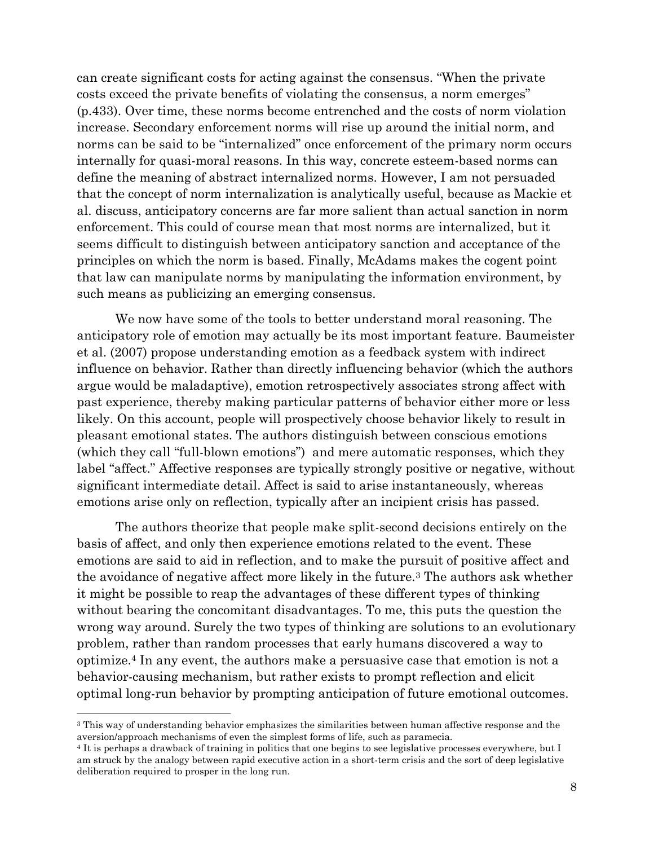can create significant costs for acting against the consensus. "When the private costs exceed the private benefits of violating the consensus, a norm emerges" (p.433). Over time, these norms become entrenched and the costs of norm violation increase. Secondary enforcement norms will rise up around the initial norm, and norms can be said to be "internalized" once enforcement of the primary norm occurs internally for quasi-moral reasons. In this way, concrete esteem-based norms can define the meaning of abstract internalized norms. However, I am not persuaded that the concept of norm internalization is analytically useful, because as Mackie et al. discuss, anticipatory concerns are far more salient than actual sanction in norm enforcement. This could of course mean that most norms are internalized, but it seems difficult to distinguish between anticipatory sanction and acceptance of the principles on which the norm is based. Finally, McAdams makes the cogent point that law can manipulate norms by manipulating the information environment, by such means as publicizing an emerging consensus.

We now have some of the tools to better understand moral reasoning. The anticipatory role of emotion may actually be its most important feature. Baumeister et al. (2007) propose understanding emotion as a feedback system with indirect influence on behavior. Rather than directly influencing behavior (which the authors argue would be maladaptive), emotion retrospectively associates strong affect with past experience, thereby making particular patterns of behavior either more or less likely. On this account, people will prospectively choose behavior likely to result in pleasant emotional states. The authors distinguish between conscious emotions (which they call "full-blown emotions") and mere automatic responses, which they label "affect." Affective responses are typically strongly positive or negative, without significant intermediate detail. Affect is said to arise instantaneously, whereas emotions arise only on reflection, typically after an incipient crisis has passed.

The authors theorize that people make split-second decisions entirely on the basis of affect, and only then experience emotions related to the event. These emotions are said to aid in reflection, and to make the pursuit of positive affect and the avoidance of negative affect more likely in the future.<sup>3</sup> The authors ask whether it might be possible to reap the advantages of these different types of thinking without bearing the concomitant disadvantages. To me, this puts the question the wrong way around. Surely the two types of thinking are solutions to an evolutionary problem, rather than random processes that early humans discovered a way to optimize.<sup>4</sup> In any event, the authors make a persuasive case that emotion is not a behavior-causing mechanism, but rather exists to prompt reflection and elicit optimal long-run behavior by prompting anticipation of future emotional outcomes.

 $\overline{\phantom{a}}$ 

<sup>3</sup> This way of understanding behavior emphasizes the similarities between human affective response and the aversion/approach mechanisms of even the simplest forms of life, such as paramecia.

<sup>4</sup> It is perhaps a drawback of training in politics that one begins to see legislative processes everywhere, but I am struck by the analogy between rapid executive action in a short-term crisis and the sort of deep legislative deliberation required to prosper in the long run.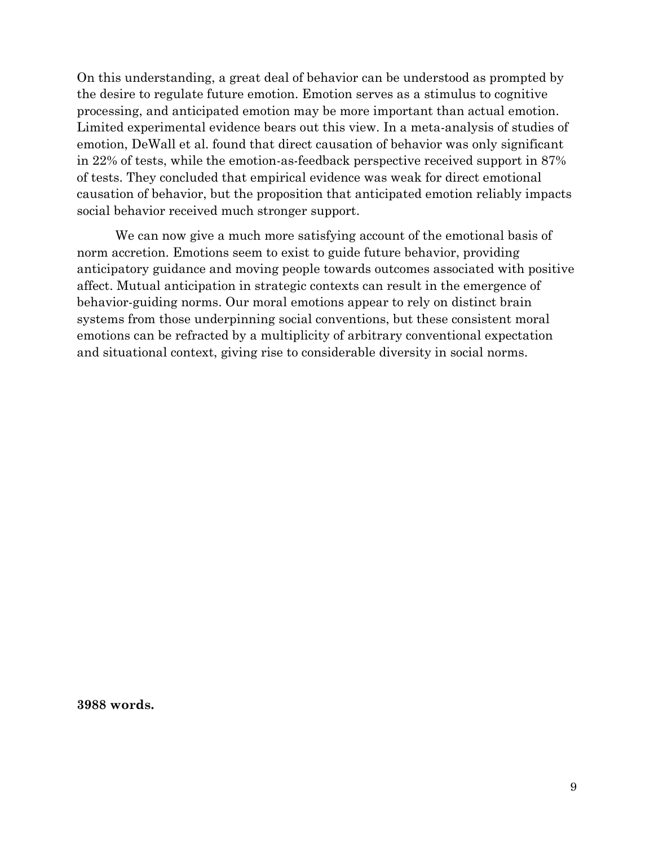On this understanding, a great deal of behavior can be understood as prompted by the desire to regulate future emotion. Emotion serves as a stimulus to cognitive processing, and anticipated emotion may be more important than actual emotion. Limited experimental evidence bears out this view. In a meta-analysis of studies of emotion, DeWall et al. found that direct causation of behavior was only significant in 22% of tests, while the emotion-as-feedback perspective received support in 87% of tests. They concluded that empirical evidence was weak for direct emotional causation of behavior, but the proposition that anticipated emotion reliably impacts social behavior received much stronger support.

We can now give a much more satisfying account of the emotional basis of norm accretion. Emotions seem to exist to guide future behavior, providing anticipatory guidance and moving people towards outcomes associated with positive affect. Mutual anticipation in strategic contexts can result in the emergence of behavior-guiding norms. Our moral emotions appear to rely on distinct brain systems from those underpinning social conventions, but these consistent moral emotions can be refracted by a multiplicity of arbitrary conventional expectation and situational context, giving rise to considerable diversity in social norms.

**3988 words.**